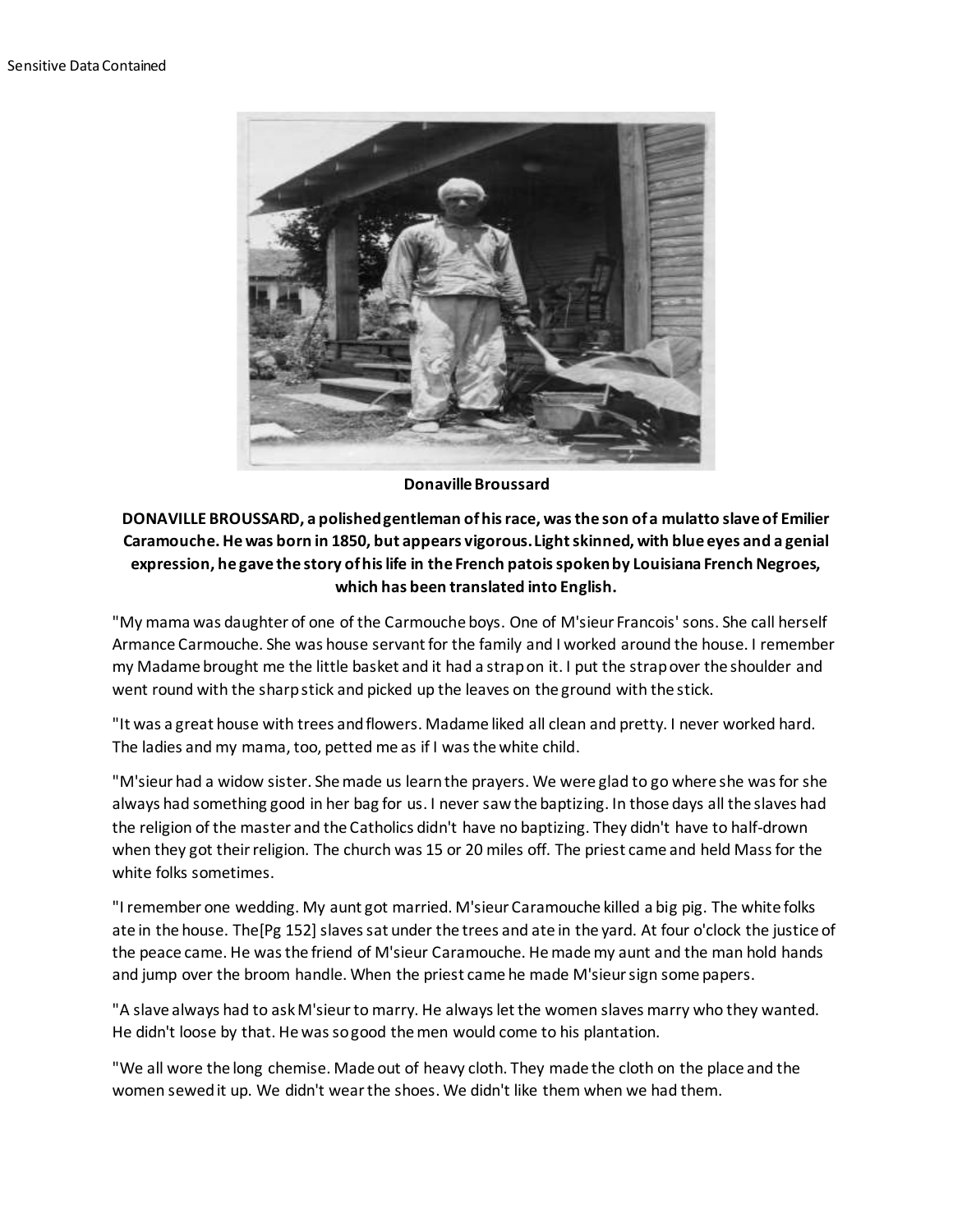

**Donaville Broussard**

## **DONAVILLE BROUSSARD, a polished gentleman of his race, was the son of a mulatto slave of Emilier Caramouche. He was born in 1850, but appears vigorous. Light skinned, with blue eyes and a genial expression, he gave the story of his life in the French patois spoken by Louisiana French Negroes, which has been translated into English.**

"My mama was daughter of one of the Carmouche boys. One of M'sieur Francois' sons. She call herself Armance Carmouche. She was house servant for the family and I worked around the house. I remember my Madame brought me the little basket and it had a strap on it. I put the strap over the shoulder and went round with the sharp stick and picked up the leaves on the ground with the stick.

"It was a great house with trees and flowers. Madame liked all clean and pretty. I never worked hard. The ladies and my mama, too, petted me as if I was the white child.

"M'sieur had a widow sister. She made us learn the prayers. We were glad to go where she was for she always had something good in her bag for us. I never saw the baptizing. In those days all the slaves had the religion of the master and the Catholics didn't have no baptizing. They didn't have to half-drown when they got their religion. The church was 15 or 20 miles off. The priest came and held Mass for the white folks sometimes.

"I remember one wedding. My aunt got married. M'sieur Caramouche killed a big pig. The white folks ate in the house. The[Pg 152] slaves sat under the trees and ate in the yard. At four o'clock the justice of the peace came. He was the friend of M'sieur Caramouche. He made my aunt and the man hold hands and jump over the broom handle. When the priest came he made M'sieur sign some papers.

"A slave always had to ask M'sieur to marry. He always let the women slaves marry who they wanted. He didn't loose by that. He was so good the men would come to his plantation.

"We all wore the long chemise. Made out of heavy cloth. They made the cloth on the place and the women sewed it up. We didn't wear the shoes. We didn't like them when we had them.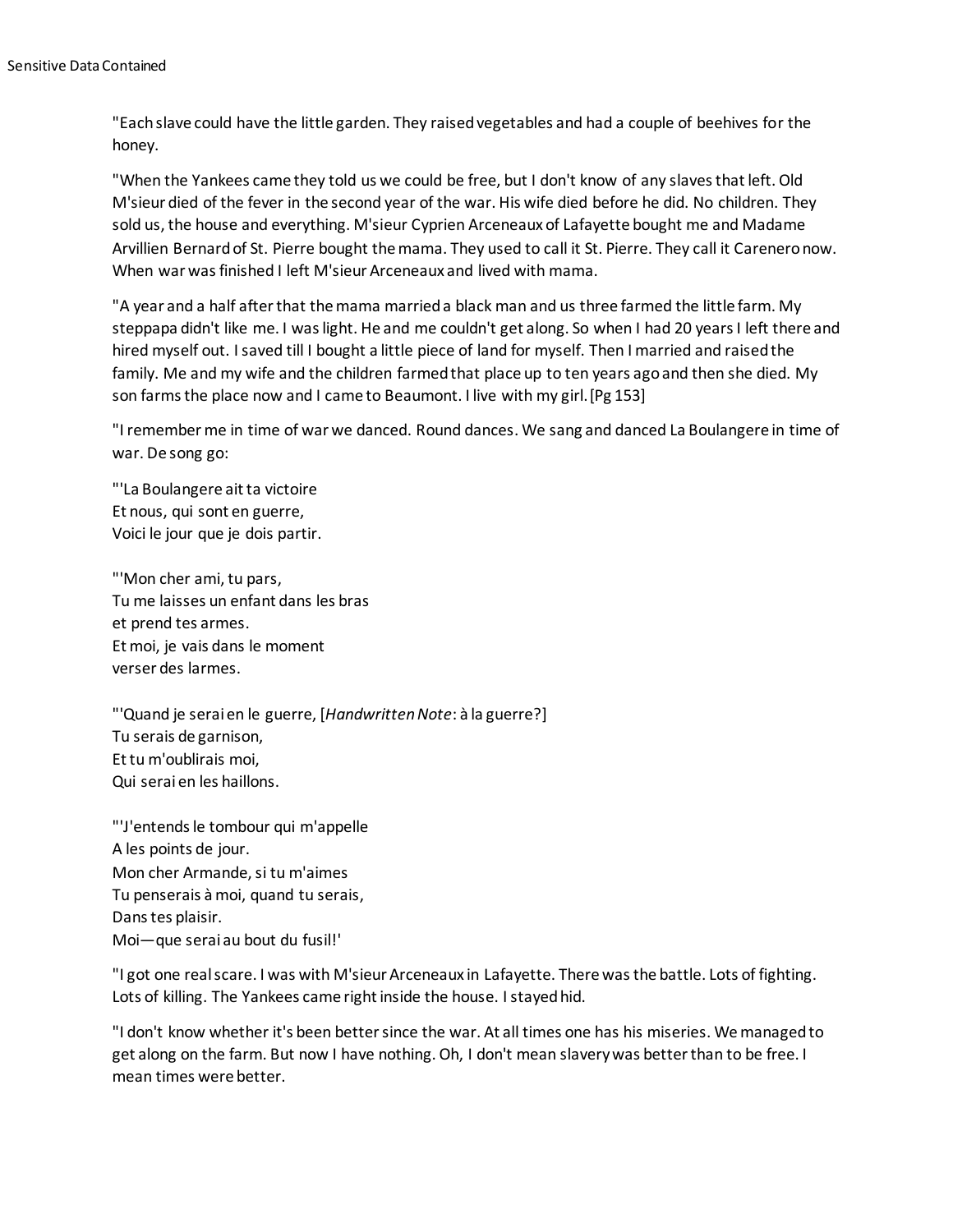"Each slave could have the little garden. They raised vegetables and had a couple of beehives for the honey.

"When the Yankees came they told us we could be free, but I don't know of any slaves that left. Old M'sieur died of the fever in the second year of the war. His wife died before he did. No children. They sold us, the house and everything. M'sieur Cyprien Arceneaux of Lafayette bought me and Madame Arvillien Bernard of St. Pierre bought the mama. They used to call it St. Pierre. They call it Carenero now. When war was finished I left M'sieur Arceneaux and lived with mama.

"A year and a half after that the mama married a black man and us three farmed the little farm. My steppapa didn't like me. I was light. He and me couldn't get along. So when I had 20 years I left there and hired myself out. I saved till I bought a little piece of land for myself. Then I married and raised the family. Me and my wife and the children farmed that place up to ten years ago and then she died. My son farms the place now and I came to Beaumont. I live with my girl.[Pg 153]

"I remember me in time of war we danced. Round dances. We sang and danced La Boulangere in time of war. De song go:

"'La Boulangere ait ta victoire Et nous, qui sont en guerre, Voici le jour que je dois partir.

"'Mon cher ami, tu pars, Tu me laisses un enfant dans les bras et prend tes armes. Et moi, je vais dans le moment verser des larmes.

"'Quand je serai en le guerre, [*Handwritten Note*: à la guerre?] Tu serais de garnison, Et tu m'oublirais moi, Qui serai en les haillons.

"'J'entends le tombour qui m'appelle A les points de jour. Mon cher Armande, si tu m'aimes Tu penserais à moi, quand tu serais, Dans tes plaisir. Moi—que serai au bout du fusil!'

"I got one real scare. I was with M'sieur Arceneaux in Lafayette. There was the battle. Lots of fighting. Lots of killing. The Yankees came right inside the house. I stayed hid.

"I don't know whether it's been better since the war. At all times one has his miseries. We managed to get along on the farm. But now I have nothing. Oh, I don't mean slavery was better than to be free. I mean times were better.